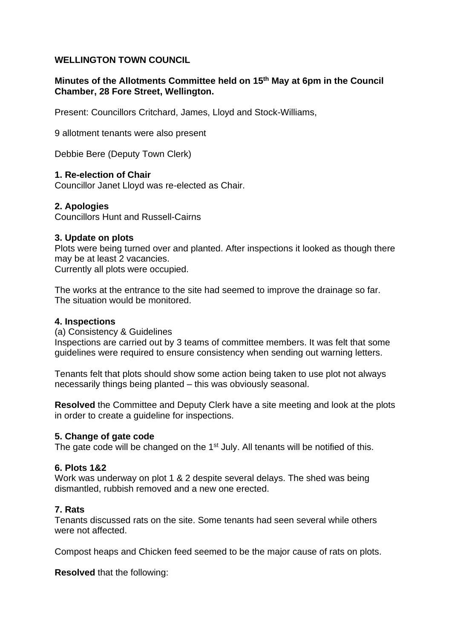# **WELLINGTON TOWN COUNCIL**

## **Minutes of the Allotments Committee held on 15th May at 6pm in the Council Chamber, 28 Fore Street, Wellington.**

Present: Councillors Critchard, James, Lloyd and Stock-Williams,

9 allotment tenants were also present

Debbie Bere (Deputy Town Clerk)

### **1. Re-election of Chair**

Councillor Janet Lloyd was re-elected as Chair.

### **2. Apologies**

Councillors Hunt and Russell-Cairns

#### **3. Update on plots**

Plots were being turned over and planted. After inspections it looked as though there may be at least 2 vacancies.

Currently all plots were occupied.

The works at the entrance to the site had seemed to improve the drainage so far. The situation would be monitored.

#### **4. Inspections**

(a) Consistency & Guidelines

Inspections are carried out by 3 teams of committee members. It was felt that some guidelines were required to ensure consistency when sending out warning letters.

Tenants felt that plots should show some action being taken to use plot not always necessarily things being planted – this was obviously seasonal.

**Resolved** the Committee and Deputy Clerk have a site meeting and look at the plots in order to create a guideline for inspections.

#### **5. Change of gate code**

The gate code will be changed on the 1<sup>st</sup> July. All tenants will be notified of this.

## **6. Plots 1&2**

Work was underway on plot 1 & 2 despite several delays. The shed was being dismantled, rubbish removed and a new one erected.

## **7. Rats**

Tenants discussed rats on the site. Some tenants had seen several while others were not affected.

Compost heaps and Chicken feed seemed to be the major cause of rats on plots.

**Resolved** that the following: